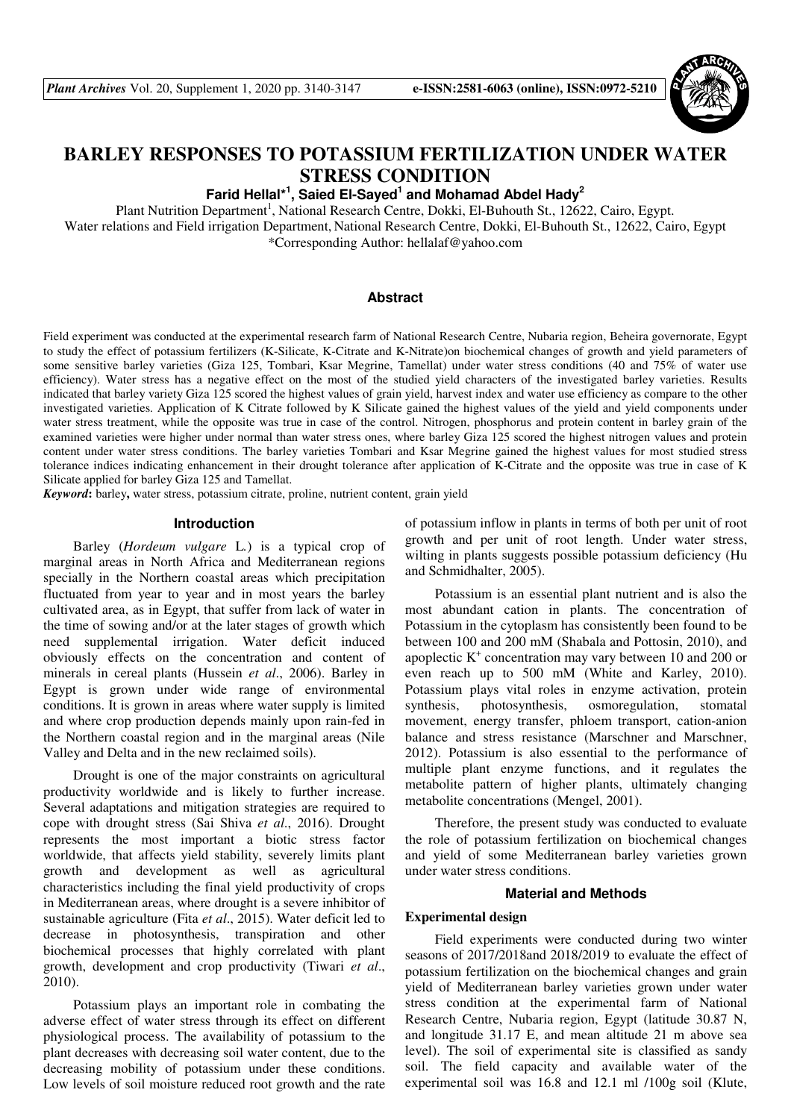

# **BARLEY RESPONSES TO POTASSIUM FERTILIZATION UNDER WATER STRESS CONDITION**

**Farid Hellal\*<sup>1</sup> , Saied El-Sayed<sup>1</sup> and Mohamad Abdel Hady<sup>2</sup>**

Plant Nutrition Department<sup>1</sup>, National Research Centre, Dokki, El-Buhouth St., 12622, Cairo, Egypt.

Water relations and Field irrigation Department, National Research Centre, Dokki, El-Buhouth St., 12622, Cairo, Egypt \*Corresponding Author: hellalaf@yahoo.com

# **Abstract**

Field experiment was conducted at the experimental research farm of National Research Centre, Nubaria region, Beheira governorate, Egypt to study the effect of potassium fertilizers (K-Silicate, K-Citrate and K-Nitrate)on biochemical changes of growth and yield parameters of some sensitive barley varieties (Giza 125, Tombari, Ksar Megrine, Tamellat) under water stress conditions (40 and 75% of water use efficiency). Water stress has a negative effect on the most of the studied yield characters of the investigated barley varieties. Results indicated that barley variety Giza 125 scored the highest values of grain yield, harvest index and water use efficiency as compare to the other investigated varieties. Application of K Citrate followed by K Silicate gained the highest values of the yield and yield components under water stress treatment, while the opposite was true in case of the control. Nitrogen, phosphorus and protein content in barley grain of the examined varieties were higher under normal than water stress ones, where barley Giza 125 scored the highest nitrogen values and protein content under water stress conditions. The barley varieties Tombari and Ksar Megrine gained the highest values for most studied stress tolerance indices indicating enhancement in their drought tolerance after application of K-Citrate and the opposite was true in case of K Silicate applied for barley Giza 125 and Tamellat.

*Keyword***:** barley**,** water stress, potassium citrate, proline, nutrient content, grain yield

### **Introduction**

Barley (*Hordeum vulgare* L*.*) is a typical crop of marginal areas in North Africa and Mediterranean regions specially in the Northern coastal areas which precipitation fluctuated from year to year and in most years the barley cultivated area, as in Egypt, that suffer from lack of water in the time of sowing and/or at the later stages of growth which need supplemental irrigation. Water deficit induced obviously effects on the concentration and content of minerals in cereal plants (Hussein *et al*., 2006). Barley in Egypt is grown under wide range of environmental conditions. It is grown in areas where water supply is limited and where crop production depends mainly upon rain-fed in the Northern coastal region and in the marginal areas (Nile Valley and Delta and in the new reclaimed soils).

Drought is one of the major constraints on agricultural productivity worldwide and is likely to further increase. Several adaptations and mitigation strategies are required to cope with drought stress (Sai Shiva *et al*., 2016). Drought represents the most important a biotic stress factor worldwide, that affects yield stability, severely limits plant growth and development as well as agricultural characteristics including the final yield productivity of crops in Mediterranean areas, where drought is a severe inhibitor of sustainable agriculture (Fita *et al*., 2015). Water deficit led to decrease in photosynthesis, transpiration and other biochemical processes that highly correlated with plant growth, development and crop productivity (Tiwari *et al*., 2010).

Potassium plays an important role in combating the adverse effect of water stress through its effect on different physiological process. The availability of potassium to the plant decreases with decreasing soil water content, due to the decreasing mobility of potassium under these conditions. Low levels of soil moisture reduced root growth and the rate

of potassium inflow in plants in terms of both per unit of root growth and per unit of root length. Under water stress, wilting in plants suggests possible potassium deficiency (Hu and Schmidhalter, 2005).

Potassium is an essential plant nutrient and is also the most abundant cation in plants. The concentration of Potassium in the cytoplasm has consistently been found to be between 100 and 200 mM (Shabala and Pottosin, 2010), and apoplectic  $K^+$  concentration may vary between 10 and 200 or even reach up to 500 mM (White and Karley, 2010). Potassium plays vital roles in enzyme activation, protein synthesis, photosynthesis, osmoregulation, stomatal movement, energy transfer, phloem transport, cation-anion balance and stress resistance (Marschner and Marschner, 2012). Potassium is also essential to the performance of multiple plant enzyme functions, and it regulates the metabolite pattern of higher plants, ultimately changing metabolite concentrations (Mengel, 2001).

Therefore, the present study was conducted to evaluate the role of potassium fertilization on biochemical changes and yield of some Mediterranean barley varieties grown under water stress conditions.

### **Material and Methods**

# **Experimental design**

Field experiments were conducted during two winter seasons of 2017/2018and 2018/2019 to evaluate the effect of potassium fertilization on the biochemical changes and grain yield of Mediterranean barley varieties grown under water stress condition at the experimental farm of National Research Centre, Nubaria region, Egypt (latitude 30.87 N, and longitude 31.17 E, and mean altitude 21 m above sea level). The soil of experimental site is classified as sandy soil. The field capacity and available water of the experimental soil was 16.8 and 12.1 ml /100g soil (Klute,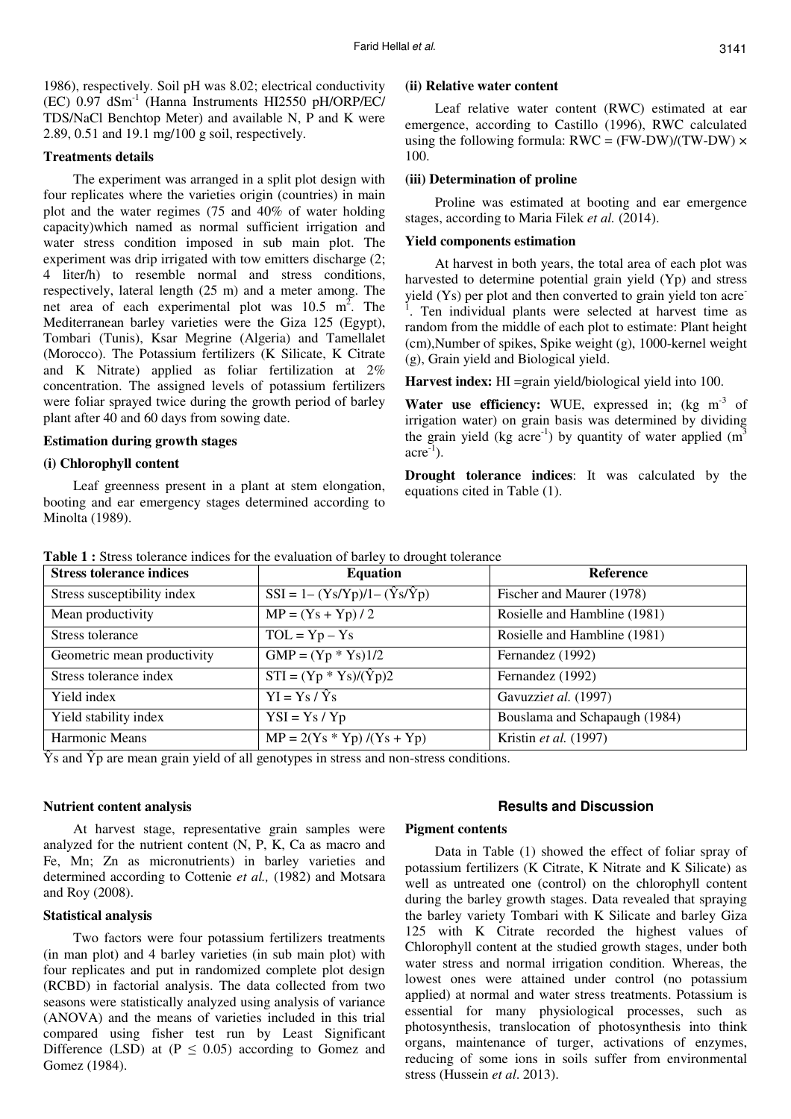1986), respectively. Soil pH was 8.02; electrical conductivity  $(EC)$  0.97 dSm<sup>-1</sup> (Hanna Instruments HI2550 pH/ORP/EC/ TDS/NaCl Benchtop Meter) and available N, P and K were 2.89, 0.51 and 19.1 mg/100 g soil, respectively.

### **Treatments details**

The experiment was arranged in a split plot design with four replicates where the varieties origin (countries) in main plot and the water regimes (75 and 40% of water holding capacity)which named as normal sufficient irrigation and water stress condition imposed in sub main plot. The experiment was drip irrigated with tow emitters discharge (2; 4 liter/h) to resemble normal and stress conditions, respectively, lateral length (25 m) and a meter among. The net area of each experimental plot was  $10.5 \text{ m}^2$ . The Mediterranean barley varieties were the Giza 125 (Egypt), Tombari (Tunis), Ksar Megrine (Algeria) and Tamellalet (Morocco). The Potassium fertilizers (K Silicate, K Citrate and K Nitrate) applied as foliar fertilization at 2% concentration. The assigned levels of potassium fertilizers were foliar sprayed twice during the growth period of barley plant after 40 and 60 days from sowing date.

## **Estimation during growth stages**

### **(i) Chlorophyll content**

Leaf greenness present in a plant at stem elongation, booting and ear emergency stages determined according to Minolta (1989).

### **(ii) Relative water content**

Leaf relative water content (RWC) estimated at ear emergence, according to Castillo (1996), RWC calculated using the following formula:  $RWC = (FW-DW)/(TW-DW) \times$ 100.

### **(iii) Determination of proline**

Proline was estimated at booting and ear emergence stages, according to Maria Filek *et al.* (2014).

### **Yield components estimation**

At harvest in both years, the total area of each plot was harvested to determine potential grain yield (Yp) and stress yield (Ys) per plot and then converted to grain yield ton acre-<sup>1</sup>. Ten individual plants were selected at harvest time as random from the middle of each plot to estimate: Plant height (cm),Number of spikes, Spike weight (g), 1000-kernel weight (g), Grain yield and Biological yield.

**Harvest index:** HI =grain yield/biological yield into 100.

**Water use efficiency:** WUE, expressed in; (kg m<sup>-3</sup> of irrigation water) on grain basis was determined by dividing the grain yield (kg acre<sup>-1</sup>) by quantity of water applied  $(m<sup>3</sup>)$  $\text{acre}^{-1}$ ).

**Drought tolerance indices**: It was calculated by the equations cited in Table (1).

| <b>Stress tolerance indices</b> | <b>Equation</b>                             | <b>Reference</b>              |
|---------------------------------|---------------------------------------------|-------------------------------|
| Stress susceptibility index     | $SSI = 1 - (Ys/Yp)/1 - (\hat{Y}s/\hat{Y}p)$ | Fischer and Maurer (1978)     |
| Mean productivity               | $MP = (Ys + Yp) / 2$                        | Rosielle and Hambline (1981)  |
| Stress tolerance                | $TOL = Yp - Ys$                             | Rosielle and Hambline (1981)  |
| Geometric mean productivity     | $GMP = (Yp * Ys)1/2$                        | Fernandez (1992)              |
| Stress tolerance index          | $STI = (Yp * Ys)/(\hat{Y}p)2$               | Fernandez (1992)              |
| Yield index                     | $\overline{YI} = \overline{Ys}/\hat{Ys}$    | Gavuzziet al. (1997)          |
| Yield stability index           | $YSI = Ys / Yp$                             | Bouslama and Schapaugh (1984) |
| Harmonic Means                  | $MP = 2(Ys * Yp) / (Ys + Yp)$               | Kristin et al. (1997)         |

**Table 1 :** Stress tolerance indices for the evaluation of barley to drought tolerance

Ŷs and Ŷp are mean grain yield of all genotypes in stress and non-stress conditions.

### **Nutrient content analysis**

At harvest stage, representative grain samples were analyzed for the nutrient content (N, P, K, Ca as macro and Fe, Mn; Zn as micronutrients) in barley varieties and determined according to Cottenie *et al.,* (1982) and Motsara and Roy (2008).

#### **Statistical analysis**

Two factors were four potassium fertilizers treatments (in man plot) and 4 barley varieties (in sub main plot) with four replicates and put in randomized complete plot design (RCBD) in factorial analysis. The data collected from two seasons were statistically analyzed using analysis of variance (ANOVA) and the means of varieties included in this trial compared using fisher test run by Least Significant Difference (LSD) at ( $P \le 0.05$ ) according to Gomez and Gomez (1984).

### **Results and Discussion**

# **Pigment contents**

Data in Table (1) showed the effect of foliar spray of potassium fertilizers (K Citrate, K Nitrate and K Silicate) as well as untreated one (control) on the chlorophyll content during the barley growth stages. Data revealed that spraying the barley variety Tombari with K Silicate and barley Giza 125 with K Citrate recorded the highest values of Chlorophyll content at the studied growth stages, under both water stress and normal irrigation condition. Whereas, the lowest ones were attained under control (no potassium applied) at normal and water stress treatments. Potassium is essential for many physiological processes, such as photosynthesis, translocation of photosynthesis into think organs, maintenance of turger, activations of enzymes, reducing of some ions in soils suffer from environmental stress (Hussein *et al*. 2013).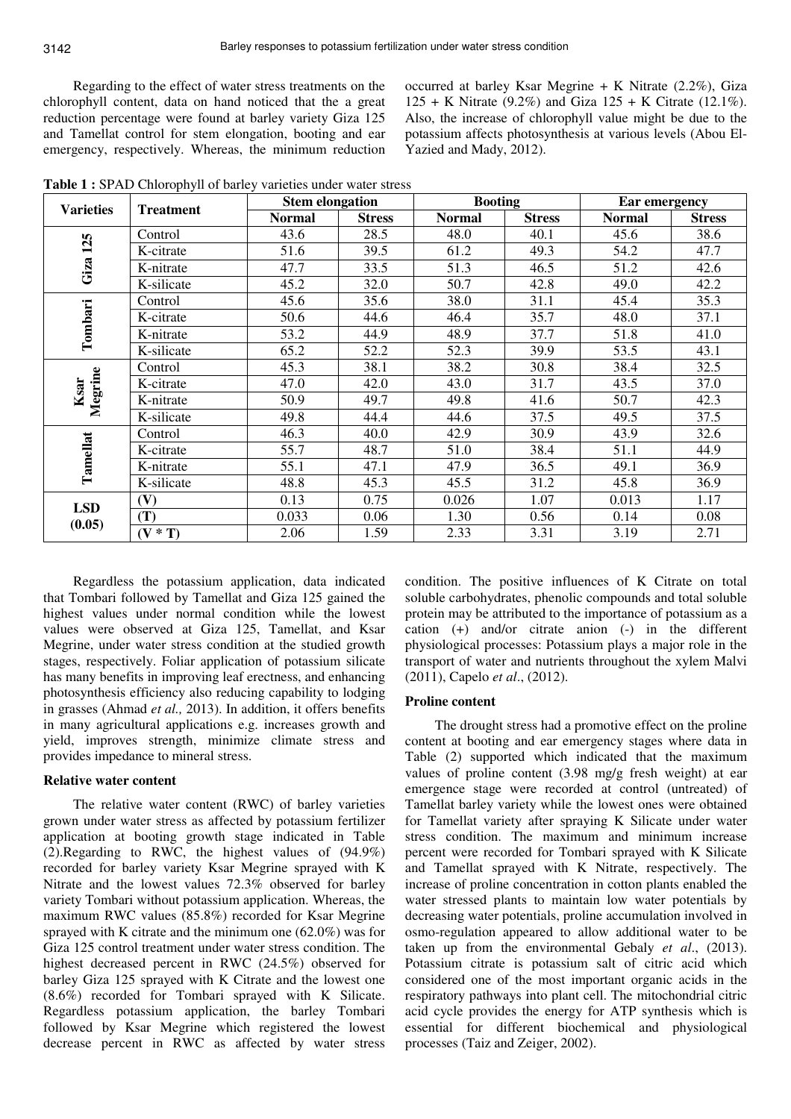Regarding to the effect of water stress treatments on the chlorophyll content, data on hand noticed that the a great reduction percentage were found at barley variety Giza 125 and Tamellat control for stem elongation, booting and ear emergency, respectively. Whereas, the minimum reduction

occurred at barley Ksar Megrine  $+$  K Nitrate (2.2%), Giza 125 + K Nitrate (9.2%) and Giza  $125 + K$  Citrate (12.1%). Also, the increase of chlorophyll value might be due to the potassium affects photosynthesis at various levels (Abou El-Yazied and Mady, 2012).

**Table 1 :** SPAD Chlorophyll of barley varieties under water stress

| <b>Varieties</b> | <b>Treatment</b> | <b>Stem elongation</b> |               | <b>Booting</b> |               | Ear emergency |               |  |
|------------------|------------------|------------------------|---------------|----------------|---------------|---------------|---------------|--|
|                  |                  | <b>Normal</b>          | <b>Stress</b> | <b>Normal</b>  | <b>Stress</b> | <b>Normal</b> | <b>Stress</b> |  |
|                  | Control          | 43.6                   | 28.5          | 48.0           | 40.1          | 45.6          | 38.6          |  |
| 125              | K-citrate        | 51.6                   | 39.5          | 61.2           | 49.3          | 54.2          | 47.7          |  |
| Giza             | K-nitrate        | 47.7                   | 33.5          | 51.3           | 46.5          | 51.2          | 42.6          |  |
|                  | K-silicate       | 45.2                   | 32.0          | 50.7           | 42.8          | 49.0          | 42.2          |  |
|                  | Control          | 45.6                   | 35.6          | 38.0           | 31.1          | 45.4          | 35.3          |  |
|                  | K-citrate        | 50.6                   | 44.6          | 46.4           | 35.7          | 48.0          | 37.1          |  |
| Tombari          | K-nitrate        | 53.2                   | 44.9          | 48.9           | 37.7          | 51.8          | 41.0          |  |
|                  | K-silicate       | 65.2                   | 52.2          | 52.3           | 39.9          | 53.5          | 43.1          |  |
|                  | Control          | 45.3                   | 38.1          | 38.2           | 30.8          | 38.4          | 32.5          |  |
| Megrine<br>Ksar  | K-citrate        | 47.0                   | 42.0          | 43.0           | 31.7          | 43.5          | 37.0          |  |
|                  | K-nitrate        | 50.9                   | 49.7          | 49.8           | 41.6          | 50.7          | 42.3          |  |
|                  | K-silicate       | 49.8                   | 44.4          | 44.6           | 37.5          | 49.5          | 37.5          |  |
|                  | Control          | 46.3                   | 40.0          | 42.9           | 30.9          | 43.9          | 32.6          |  |
| Tamellat         | K-citrate        | 55.7                   | 48.7          | 51.0           | 38.4          | 51.1          | 44.9          |  |
|                  | K-nitrate        | 55.1                   | 47.1          | 47.9           | 36.5          | 49.1          | 36.9          |  |
|                  | K-silicate       | 48.8                   | 45.3          | 45.5           | 31.2          | 45.8          | 36.9          |  |
| <b>LSD</b>       | (V)              | 0.13                   | 0.75          | 0.026          | 1.07          | 0.013         | 1.17          |  |
| (0.05)           | (T)              | 0.033                  | 0.06          | 1.30           | 0.56          | 0.14          | 0.08          |  |
|                  | $(V * T)$        | 2.06                   | 1.59          | 2.33           | 3.31          | 3.19          | 2.71          |  |

Regardless the potassium application, data indicated that Tombari followed by Tamellat and Giza 125 gained the highest values under normal condition while the lowest values were observed at Giza 125, Tamellat, and Ksar Megrine, under water stress condition at the studied growth stages, respectively. Foliar application of potassium silicate has many benefits in improving leaf erectness, and enhancing photosynthesis efficiency also reducing capability to lodging in grasses (Ahmad *et al.,* 2013). In addition, it offers benefits in many agricultural applications e.g. increases growth and yield, improves strength, minimize climate stress and provides impedance to mineral stress.

# **Relative water content**

The relative water content (RWC) of barley varieties grown under water stress as affected by potassium fertilizer application at booting growth stage indicated in Table (2).Regarding to RWC, the highest values of (94.9%) recorded for barley variety Ksar Megrine sprayed with K Nitrate and the lowest values 72.3% observed for barley variety Tombari without potassium application. Whereas, the maximum RWC values (85.8%) recorded for Ksar Megrine sprayed with K citrate and the minimum one (62.0%) was for Giza 125 control treatment under water stress condition. The highest decreased percent in RWC (24.5%) observed for barley Giza 125 sprayed with K Citrate and the lowest one (8.6%) recorded for Tombari sprayed with K Silicate. Regardless potassium application, the barley Tombari followed by Ksar Megrine which registered the lowest decrease percent in RWC as affected by water stress

condition. The positive influences of K Citrate on total soluble carbohydrates, phenolic compounds and total soluble protein may be attributed to the importance of potassium as a cation (+) and/or citrate anion (-) in the different physiological processes: Potassium plays a major role in the transport of water and nutrients throughout the xylem Malvi (2011), Capelo *et al*., (2012).

### **Proline content**

The drought stress had a promotive effect on the proline content at booting and ear emergency stages where data in Table (2) supported which indicated that the maximum values of proline content (3.98 mg/g fresh weight) at ear emergence stage were recorded at control (untreated) of Tamellat barley variety while the lowest ones were obtained for Tamellat variety after spraying K Silicate under water stress condition. The maximum and minimum increase percent were recorded for Tombari sprayed with K Silicate and Tamellat sprayed with K Nitrate, respectively. The increase of proline concentration in cotton plants enabled the water stressed plants to maintain low water potentials by decreasing water potentials, proline accumulation involved in osmo-regulation appeared to allow additional water to be taken up from the environmental Gebaly *et al*., (2013). Potassium citrate is potassium salt of citric acid which considered one of the most important organic acids in the respiratory pathways into plant cell. The mitochondrial citric acid cycle provides the energy for ATP synthesis which is essential for different biochemical and physiological processes (Taiz and Zeiger, 2002).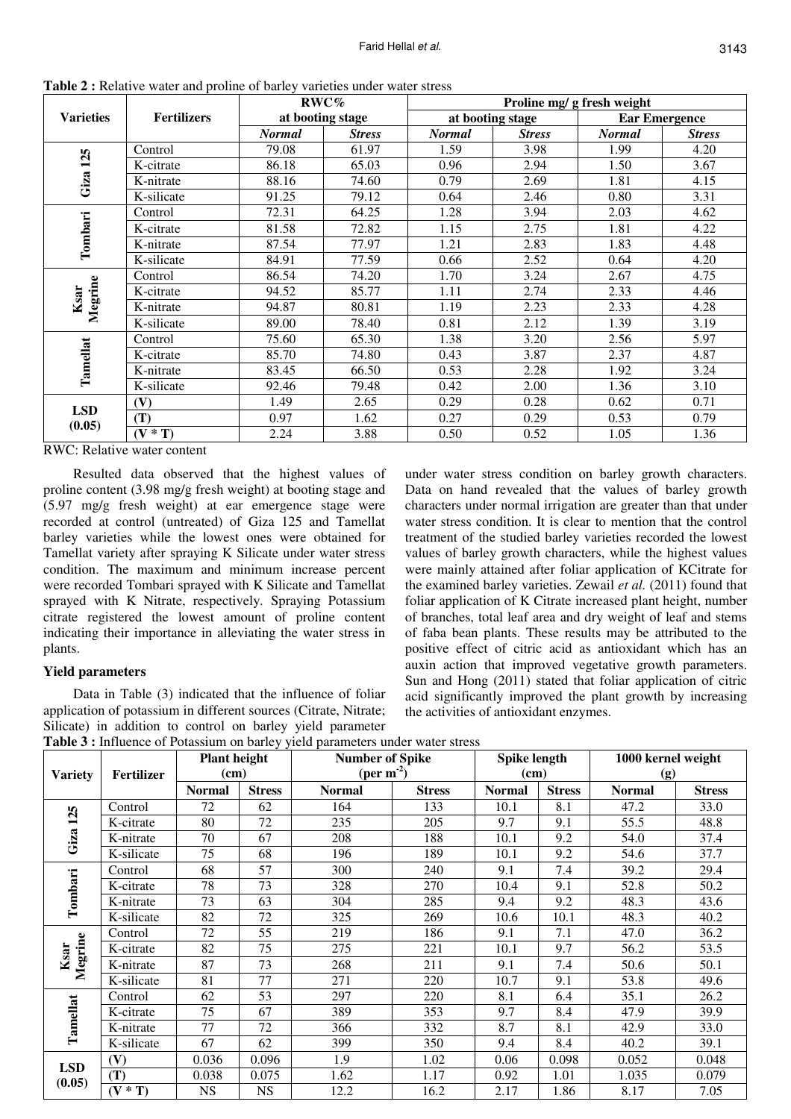|                  | <b>EXAMPLE .</b> The figure $\theta$ and $\theta$ from $\theta$ of $\theta$ and $\theta$ and $\theta$ and $\theta$ and $\theta$ and $\theta$ |               | RWC%             | Proline mg/ g fresh weight |                  |                      |               |  |
|------------------|----------------------------------------------------------------------------------------------------------------------------------------------|---------------|------------------|----------------------------|------------------|----------------------|---------------|--|
| <b>Varieties</b> | <b>Fertilizers</b>                                                                                                                           |               | at booting stage |                            | at booting stage | <b>Ear Emergence</b> |               |  |
|                  |                                                                                                                                              | <b>Normal</b> | <b>Stress</b>    | <b>Normal</b>              | <b>Stress</b>    | <b>Normal</b>        | <b>Stress</b> |  |
|                  | Control                                                                                                                                      | 79.08         | 61.97            | 1.59                       | 3.98             | 1.99                 | 4.20          |  |
| 125              | K-citrate                                                                                                                                    | 86.18         | 65.03            | 0.96                       | 2.94             | 1.50                 | 3.67          |  |
| Giza             | K-nitrate                                                                                                                                    | 88.16         | 74.60            | 0.79                       | 2.69             | 1.81                 | 4.15          |  |
|                  | K-silicate                                                                                                                                   | 91.25         | 79.12            | 0.64                       | 2.46             | 0.80                 | 3.31          |  |
|                  | Control                                                                                                                                      | 72.31         | 64.25            | 1.28                       | 3.94             | 2.03                 | 4.62          |  |
| Tombari          | K-citrate                                                                                                                                    | 81.58         | 72.82            | 1.15                       | 2.75             | 1.81                 | 4.22          |  |
|                  | K-nitrate                                                                                                                                    | 87.54         | 77.97            | 1.21                       | 2.83             | 1.83                 | 4.48          |  |
|                  | K-silicate                                                                                                                                   | 84.91         | 77.59            | 0.66                       | 2.52             | 0.64                 | 4.20          |  |
|                  | Control                                                                                                                                      | 86.54         | 74.20            | 1.70                       | 3.24             | 2.67                 | 4.75          |  |
| Megrine<br>Ksar  | K-citrate                                                                                                                                    | 94.52         | 85.77            | 1.11                       | 2.74             | 2.33                 | 4.46          |  |
|                  | K-nitrate                                                                                                                                    | 94.87         | 80.81            | 1.19                       | 2.23             | 2.33                 | 4.28          |  |
|                  | K-silicate                                                                                                                                   | 89.00         | 78.40            | 0.81                       | 2.12             | 1.39                 | 3.19          |  |
|                  | Control                                                                                                                                      | 75.60         | 65.30            | 1.38                       | 3.20             | 2.56                 | 5.97          |  |
| Tamellat         | K-citrate                                                                                                                                    | 85.70         | 74.80            | 0.43                       | 3.87             | 2.37                 | 4.87          |  |
|                  | K-nitrate                                                                                                                                    | 83.45         | 66.50            | 0.53                       | 2.28             | 1.92                 | 3.24          |  |
|                  | K-silicate                                                                                                                                   | 92.46         | 79.48            | 0.42                       | 2.00             | 1.36                 | 3.10          |  |
| <b>LSD</b>       | (V)                                                                                                                                          | 1.49          | 2.65             | 0.29                       | 0.28             | 0.62                 | 0.71          |  |
|                  | (T)                                                                                                                                          | 0.97          | 1.62             | 0.27                       | 0.29             | 0.53                 | 0.79          |  |
| (0.05)           | $(V * T)$                                                                                                                                    | 2.24          | 3.88             | 0.50                       | 0.52             | 1.05                 | 1.36          |  |

**Table 2 :** Relative water and proline of barley varieties under water stress

RWC: Relative water content

Resulted data observed that the highest values of proline content (3.98 mg/g fresh weight) at booting stage and (5.97 mg/g fresh weight) at ear emergence stage were recorded at control (untreated) of Giza 125 and Tamellat barley varieties while the lowest ones were obtained for Tamellat variety after spraying K Silicate under water stress condition. The maximum and minimum increase percent were recorded Tombari sprayed with K Silicate and Tamellat sprayed with K Nitrate, respectively. Spraying Potassium citrate registered the lowest amount of proline content indicating their importance in alleviating the water stress in plants.

# **Yield parameters**

Data in Table (3) indicated that the influence of foliar application of potassium in different sources (Citrate, Nitrate; Silicate) in addition to control on barley yield parameter

under water stress condition on barley growth characters. Data on hand revealed that the values of barley growth characters under normal irrigation are greater than that under water stress condition. It is clear to mention that the control treatment of the studied barley varieties recorded the lowest values of barley growth characters, while the highest values were mainly attained after foliar application of KCitrate for the examined barley varieties. Zewail *et al.* (2011) found that foliar application of K Citrate increased plant height, number of branches, total leaf area and dry weight of leaf and stems of faba bean plants. These results may be attributed to the positive effect of citric acid as antioxidant which has an auxin action that improved vegetative growth parameters. Sun and Hong (2011) stated that foliar application of citric acid significantly improved the plant growth by increasing the activities of antioxidant enzymes.

|  | a se de la construcción de la construcción de la construcción de la construcción de la construcción de la cons |  |                                                                                |
|--|----------------------------------------------------------------------------------------------------------------|--|--------------------------------------------------------------------------------|
|  |                                                                                                                |  | Table 3 : Influence of Potassium on barley yield parameters under water stress |

|                |            | <b>Plant height</b><br><b>Number of Spike</b> |               | <b>Spike length</b>    |               | 1000 kernel weight |               |               |               |
|----------------|------------|-----------------------------------------------|---------------|------------------------|---------------|--------------------|---------------|---------------|---------------|
| <b>Variety</b> | Fertilizer | (cm)                                          |               | (per m <sup>-2</sup> ) |               | (cm)               |               | (g)           |               |
|                |            | <b>Normal</b>                                 | <b>Stress</b> | <b>Normal</b>          | <b>Stress</b> | <b>Normal</b>      | <b>Stress</b> | <b>Normal</b> | <b>Stress</b> |
|                | Control    | 72                                            | 62            | 164                    | 133           | 10.1               | 8.1           | 47.2          | 33.0          |
| 125            | K-citrate  | 80                                            | 72            | 235                    | 205           | 9.7                | 9.1           | 55.5          | 48.8          |
| Giza           | K-nitrate  | 70                                            | 67            | 208                    | 188           | 10.1               | 9.2           | 54.0          | 37.4          |
|                | K-silicate | 75                                            | 68            | 196                    | 189           | 10.1               | 9.2           | 54.6          | 37.7          |
|                | Control    | 68                                            | 57            | 300                    | 240           | 9.1                | 7.4           | 39.2          | 29.4          |
| Tombari        | K-citrate  | 78                                            | 73            | 328                    | 270           | 10.4               | 9.1           | 52.8          | 50.2          |
|                | K-nitrate  | 73                                            | 63            | 304                    | 285           | 9.4                | 9.2           | 48.3          | 43.6          |
|                | K-silicate | 82                                            | 72            | 325                    | 269           | 10.6               | 10.1          | 48.3          | 40.2          |
|                | Control    | 72                                            | 55            | 219                    | 186           | 9.1                | 7.1           | 47.0          | 36.2          |
| Ksar           | K-citrate  | 82                                            | 75            | 275                    | 221           | 10.1               | 9.7           | 56.2          | 53.5          |
| Megrine        | K-nitrate  | 87                                            | 73            | 268                    | 211           | 9.1                | 7.4           | 50.6          | 50.1          |
|                | K-silicate | 81                                            | 77            | 271                    | 220           | 10.7               | 9.1           | 53.8          | 49.6          |
|                | Control    | 62                                            | 53            | 297                    | 220           | 8.1                | 6.4           | 35.1          | 26.2          |
| Tamellat       | K-citrate  | 75                                            | 67            | 389                    | 353           | 9.7                | 8.4           | 47.9          | 39.9          |
|                | K-nitrate  | 77                                            | 72            | 366                    | 332           | 8.7                | 8.1           | 42.9          | 33.0          |
|                | K-silicate | 67                                            | 62            | 399                    | 350           | 9.4                | 8.4           | 40.2          | 39.1          |
| <b>LSD</b>     | (V)        | 0.036                                         | 0.096         | 1.9                    | 1.02          | 0.06               | 0.098         | 0.052         | 0.048         |
| (0.05)         | (T)        | 0.038                                         | 0.075         | 1.62                   | 1.17          | 0.92               | 1.01          | 1.035         | 0.079         |
|                | $(V * T)$  | <b>NS</b>                                     | <b>NS</b>     | 12.2                   | 16.2          | 2.17               | 1.86          | 8.17          | 7.05          |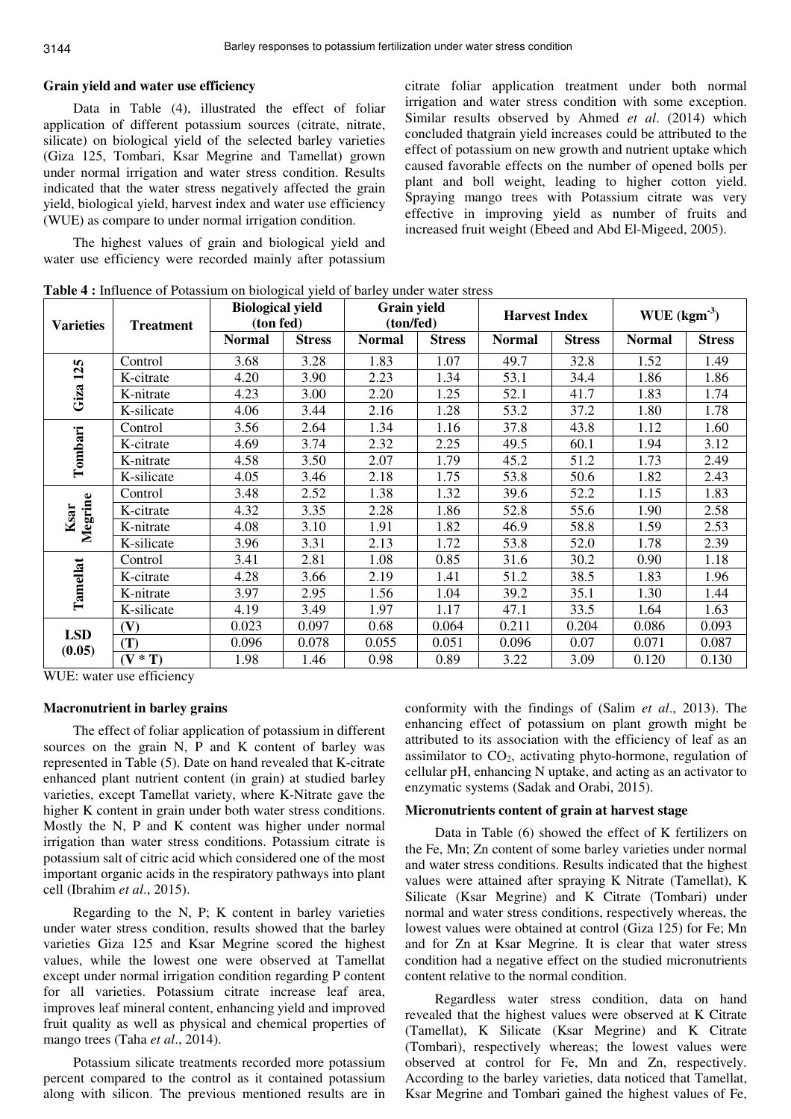### **Grain yield and water use efficiency**

Data in Table (4), illustrated the effect of foliar application of different potassium sources (citrate, nitrate, silicate) on biological yield of the selected barley varieties (Giza 125, Tombari, Ksar Megrine and Tamellat) grown under normal irrigation and water stress condition. Results indicated that the water stress negatively affected the grain yield, biological yield, harvest index and water use efficiency (WUE) as compare to under normal irrigation condition.

The highest values of grain and biological yield and water use efficiency were recorded mainly after potassium citrate foliar application treatment under both normal irrigation and water stress condition with some exception. Similar results observed by Ahmed *et al*. (2014) which concluded thatgrain yield increases could be attributed to the effect of potassium on new growth and nutrient uptake which caused favorable effects on the number of opened bolls per plant and boll weight, leading to higher cotton yield. Spraying mango trees with Potassium citrate was very effective in improving yield as number of fruits and increased fruit weight (Ebeed and Abd El-Migeed, 2005).

| <b>Varieties</b> | <b>Treatment</b> | <b>Biological yield</b><br>(ton fed) |               | Grain yield<br>(ton/fed) |               | <b>Harvest Index</b> |               | WUE $(kgm3)$  |               |
|------------------|------------------|--------------------------------------|---------------|--------------------------|---------------|----------------------|---------------|---------------|---------------|
|                  |                  | <b>Normal</b>                        | <b>Stress</b> | <b>Normal</b>            | <b>Stress</b> | <b>Normal</b>        | <b>Stress</b> | <b>Normal</b> | <b>Stress</b> |
|                  | Control          | 3.68                                 | 3.28          | 1.83                     | 1.07          | 49.7                 | 32.8          | 1.52          | 1.49          |
| 125              | K-citrate        | 4.20                                 | 3.90          | 2.23                     | 1.34          | 53.1                 | 34.4          | 1.86          | 1.86          |
| Giza             | K-nitrate        | 4.23                                 | 3.00          | 2.20                     | 1.25          | 52.1                 | 41.7          | 1.83          | 1.74          |
|                  | K-silicate       | 4.06                                 | 3.44          | 2.16                     | 1.28          | 53.2                 | 37.2          | 1.80          | 1.78          |
|                  | Control          | 3.56                                 | 2.64          | 1.34                     | 1.16          | 37.8                 | 43.8          | 1.12          | 1.60          |
| Tombari          | K-citrate        | 4.69                                 | 3.74          | 2.32                     | 2.25          | 49.5                 | 60.1          | 1.94          | 3.12          |
|                  | K-nitrate        | 4.58                                 | 3.50          | 2.07                     | 1.79          | 45.2                 | 51.2          | 1.73          | 2.49          |
|                  | K-silicate       | 4.05                                 | 3.46          | 2.18                     | 1.75          | 53.8                 | 50.6          | 1.82          | 2.43          |
|                  | Control          | 3.48                                 | 2.52          | 1.38                     | 1.32          | 39.6                 | 52.2          | 1.15          | 1.83          |
| Megrine<br>Ksar  | K-citrate        | 4.32                                 | 3.35          | 2.28                     | 1.86          | 52.8                 | 55.6          | 1.90          | 2.58          |
|                  | K-nitrate        | 4.08                                 | 3.10          | 1.91                     | 1.82          | 46.9                 | 58.8          | 1.59          | 2.53          |
|                  | K-silicate       | 3.96                                 | 3.31          | 2.13                     | 1.72          | 53.8                 | 52.0          | 1.78          | 2.39          |
|                  | Control          | 3.41                                 | 2.81          | 1.08                     | 0.85          | 31.6                 | 30.2          | 0.90          | 1.18          |
| Tamellat         | K-citrate        | 4.28                                 | 3.66          | 2.19                     | 1.41          | 51.2                 | 38.5          | 1.83          | 1.96          |
|                  | K-nitrate        | 3.97                                 | 2.95          | 1.56                     | 1.04          | 39.2                 | 35.1          | 1.30          | 1.44          |
|                  | K-silicate       | 4.19                                 | 3.49          | 1.97                     | 1.17          | 47.1                 | 33.5          | 1.64          | 1.63          |
| <b>LSD</b>       | (V)              | 0.023                                | 0.097         | 0.68                     | 0.064         | 0.211                | 0.204         | 0.086         | 0.093         |
| (0.05)           | (T)              | 0.096                                | 0.078         | 0.055                    | 0.051         | 0.096                | 0.07          | 0.071         | 0.087         |
|                  | $(V * T)$        | 1.98                                 | 1.46          | 0.98                     | 0.89          | 3.22                 | 3.09          | 0.120         | 0.130         |

**Table 4 :** Influence of Potassium on biological yield of barley under water stress

WUE: water use efficiency

### **Macronutrient in barley grains**

The effect of foliar application of potassium in different sources on the grain N, P and K content of barley was represented in Table (5). Date on hand revealed that K-citrate enhanced plant nutrient content (in grain) at studied barley varieties, except Tamellat variety, where K-Nitrate gave the higher K content in grain under both water stress conditions. Mostly the N, P and K content was higher under normal irrigation than water stress conditions. Potassium citrate is potassium salt of citric acid which considered one of the most important organic acids in the respiratory pathways into plant cell (Ibrahim *et al*., 2015).

Regarding to the N, P; K content in barley varieties under water stress condition, results showed that the barley varieties Giza 125 and Ksar Megrine scored the highest values, while the lowest one were observed at Tamellat except under normal irrigation condition regarding P content for all varieties. Potassium citrate increase leaf area, improves leaf mineral content, enhancing yield and improved fruit quality as well as physical and chemical properties of mango trees (Taha *et al*., 2014).

Potassium silicate treatments recorded more potassium percent compared to the control as it contained potassium along with silicon. The previous mentioned results are in conformity with the findings of (Salim *et al*., 2013). The enhancing effect of potassium on plant growth might be attributed to its association with the efficiency of leaf as an assimilator to  $CO<sub>2</sub>$ , activating phyto-hormone, regulation of cellular pH, enhancing N uptake, and acting as an activator to enzymatic systems (Sadak and Orabi, 2015).

### **Micronutrients content of grain at harvest stage**

Data in Table (6) showed the effect of K fertilizers on the Fe, Mn; Zn content of some barley varieties under normal and water stress conditions. Results indicated that the highest values were attained after spraying K Nitrate (Tamellat), K Silicate (Ksar Megrine) and K Citrate (Tombari) under normal and water stress conditions, respectively whereas, the lowest values were obtained at control (Giza 125) for Fe; Mn and for Zn at Ksar Megrine. It is clear that water stress condition had a negative effect on the studied micronutrients content relative to the normal condition.

Regardless water stress condition, data on hand revealed that the highest values were observed at K Citrate (Tamellat), K Silicate (Ksar Megrine) and K Citrate (Tombari), respectively whereas; the lowest values were observed at control for Fe, Mn and Zn, respectively. According to the barley varieties, data noticed that Tamellat, Ksar Megrine and Tombari gained the highest values of Fe,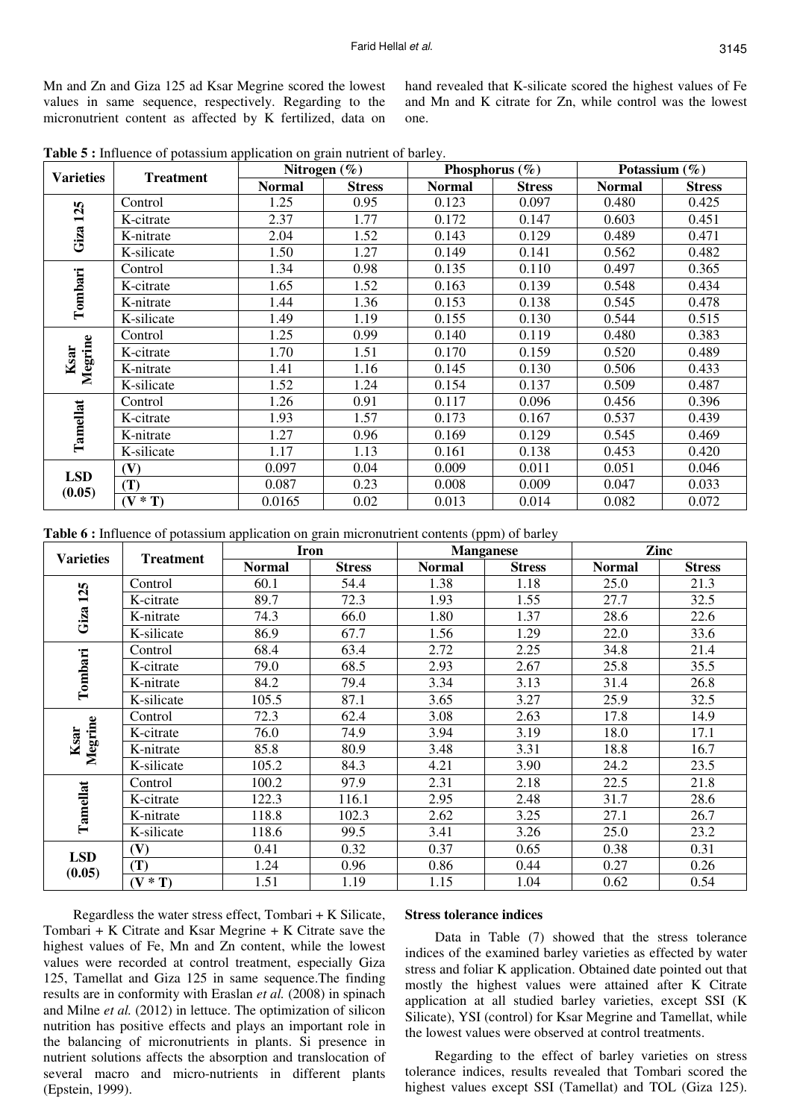Mn and Zn and Giza 125 ad Ksar Megrine scored the lowest values in same sequence, respectively. Regarding to the micronutrient content as affected by K fertilized, data on

hand revealed that K-silicate scored the highest values of Fe and Mn and K citrate for Zn, while control was the lowest one.

**Table 5 :** Influence of potassium application on grain nutrient of barley.

| <b>Varieties</b> | <b>Treatment</b> |               | Nitrogen $(\%)$ |               | Phosphorus $(\% )$ | Potassium $(\% )$ |               |  |
|------------------|------------------|---------------|-----------------|---------------|--------------------|-------------------|---------------|--|
|                  |                  | <b>Normal</b> | <b>Stress</b>   | <b>Normal</b> | <b>Stress</b>      | <b>Normal</b>     | <b>Stress</b> |  |
|                  | Control          | 1.25          | 0.95            | 0.123         | 0.097              | 0.480             | 0.425         |  |
| 125              | K-citrate        | 2.37          | 1.77            | 0.172         | 0.147              | 0.603             | 0.451         |  |
| Giza             | K-nitrate        | 2.04          | 1.52            | 0.143         | 0.129              | 0.489             | 0.471         |  |
|                  | K-silicate       | 1.50          | 1.27            | 0.149         | 0.141              | 0.562             | 0.482         |  |
|                  | Control          | 1.34          | 0.98            | 0.135         | 0.110              | 0.497             | 0.365         |  |
| Tombari          | K-citrate        | 1.65          | 1.52            | 0.163         | 0.139              | 0.548             | 0.434         |  |
|                  | K-nitrate        | 1.44          | 1.36            | 0.153         | 0.138              | 0.545             | 0.478         |  |
|                  | K-silicate       | 1.49          | 1.19            | 0.155         | 0.130              | 0.544             | 0.515         |  |
|                  | Control          | 1.25          | 0.99            | 0.140         | 0.119              | 0.480             | 0.383         |  |
| Megrine<br>Ksar  | K-citrate        | 1.70          | 1.51            | 0.170         | 0.159              | 0.520             | 0.489         |  |
|                  | K-nitrate        | 1.41          | 1.16            | 0.145         | 0.130              | 0.506             | 0.433         |  |
|                  | K-silicate       | 1.52          | 1.24            | 0.154         | 0.137              | 0.509             | 0.487         |  |
|                  | Control          | 1.26          | 0.91            | 0.117         | 0.096              | 0.456             | 0.396         |  |
| Tamellat         | K-citrate        | 1.93          | 1.57            | 0.173         | 0.167              | 0.537             | 0.439         |  |
|                  | K-nitrate        | 1.27          | 0.96            | 0.169         | 0.129              | 0.545             | 0.469         |  |
|                  | K-silicate       | 1.17          | 1.13            | 0.161         | 0.138              | 0.453             | 0.420         |  |
| <b>LSD</b>       | (V)              | 0.097         | 0.04            | 0.009         | 0.011              | 0.051             | 0.046         |  |
| (0.05)           | (T)              | 0.087         | 0.23            | 0.008         | 0.009              | 0.047             | 0.033         |  |
|                  | $(V * T)$        | 0.0165        | 0.02            | 0.013         | 0.014              | 0.082             | 0.072         |  |

**Table 6 :** Influence of potassium application on grain micronutrient contents (ppm) of barley

| <b>Varieties</b> | <b>Treatment</b> | <b>Iron</b>   |               |               | <b>Manganese</b> | Zinc          |               |  |
|------------------|------------------|---------------|---------------|---------------|------------------|---------------|---------------|--|
|                  |                  | <b>Normal</b> | <b>Stress</b> | <b>Normal</b> | <b>Stress</b>    | <b>Normal</b> | <b>Stress</b> |  |
|                  | Control          | 60.1          | 54.4          | 1.38          | 1.18             | 25.0          | 21.3          |  |
| 125              | K-citrate        | 89.7          | 72.3          | 1.93          | 1.55             | 27.7          | 32.5          |  |
| Giza             | K-nitrate        | 74.3          | 66.0          | 1.80          | 1.37             | 28.6          | 22.6          |  |
|                  | K-silicate       | 86.9          | 67.7          | 1.56          | 1.29             | 22.0          | 33.6          |  |
|                  | Control          | 68.4          | 63.4          | 2.72          | 2.25             | 34.8          | 21.4          |  |
|                  | K-citrate        | 79.0          | 68.5          | 2.93          | 2.67             | 25.8          | 35.5          |  |
| Tombari          | K-nitrate        | 84.2          | 79.4          | 3.34          | 3.13             | 31.4          | 26.8          |  |
|                  | K-silicate       | 105.5         | 87.1          | 3.65          | 3.27             | 25.9          | 32.5          |  |
|                  | Control          | 72.3          | 62.4          | 3.08          | 2.63             | 17.8          | 14.9          |  |
| Megrine<br>Ksar  | K-citrate        | 76.0          | 74.9          | 3.94          | 3.19             | 18.0          | 17.1          |  |
|                  | K-nitrate        | 85.8          | 80.9          | 3.48          | 3.31             | 18.8          | 16.7          |  |
|                  | K-silicate       | 105.2         | 84.3          | 4.21          | 3.90             | 24.2          | 23.5          |  |
|                  | Control          | 100.2         | 97.9          | 2.31          | 2.18             | 22.5          | 21.8          |  |
| Tamellat         | K-citrate        | 122.3         | 116.1         | 2.95          | 2.48             | 31.7          | 28.6          |  |
|                  | K-nitrate        | 118.8         | 102.3         | 2.62          | 3.25             | 27.1          | 26.7          |  |
|                  | K-silicate       | 118.6         | 99.5          | 3.41          | 3.26             | 25.0          | 23.2          |  |
| <b>LSD</b>       | (V)              | 0.41          | 0.32          | 0.37          | 0.65             | 0.38          | 0.31          |  |
|                  | (T)              | 1.24          | 0.96          | 0.86          | 0.44             | 0.27          | 0.26          |  |
| (0.05)           | $(V * T)$        | 1.51          | 1.19          | 1.15          | 1.04             | 0.62          | 0.54          |  |

Regardless the water stress effect, Tombari + K Silicate, Tombari + K Citrate and Ksar Megrine + K Citrate save the highest values of Fe, Mn and Zn content, while the lowest values were recorded at control treatment, especially Giza 125, Tamellat and Giza 125 in same sequence.The finding results are in conformity with Eraslan *et al.* (2008) in spinach and Milne *et al.* (2012) in lettuce. The optimization of silicon nutrition has positive effects and plays an important role in the balancing of micronutrients in plants. Si presence in nutrient solutions affects the absorption and translocation of several macro and micro-nutrients in different plants (Epstein, 1999).

# **Stress tolerance indices**

Data in Table (7) showed that the stress tolerance indices of the examined barley varieties as effected by water stress and foliar K application. Obtained date pointed out that mostly the highest values were attained after K Citrate application at all studied barley varieties, except SSI (K Silicate), YSI (control) for Ksar Megrine and Tamellat, while the lowest values were observed at control treatments.

Regarding to the effect of barley varieties on stress tolerance indices, results revealed that Tombari scored the highest values except SSI (Tamellat) and TOL (Giza 125).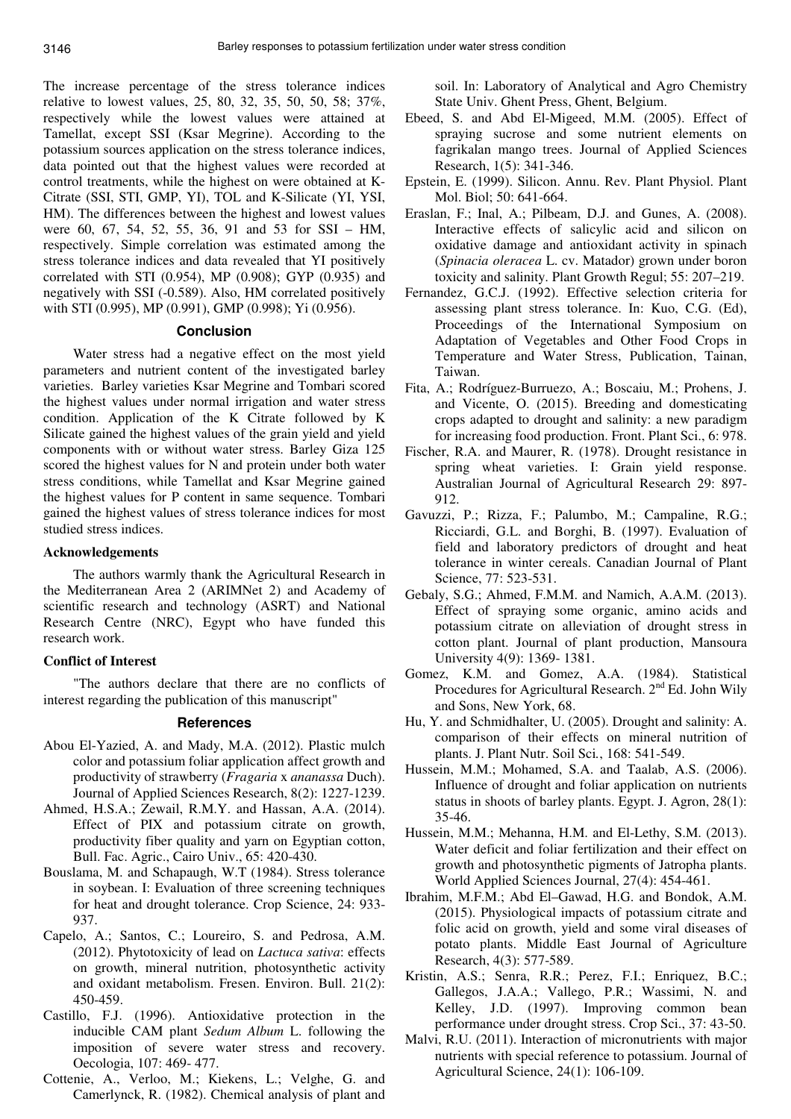The increase percentage of the stress tolerance indices relative to lowest values, 25, 80, 32, 35, 50, 50, 58; 37%, respectively while the lowest values were attained at Tamellat, except SSI (Ksar Megrine). According to the potassium sources application on the stress tolerance indices, data pointed out that the highest values were recorded at control treatments, while the highest on were obtained at K-Citrate (SSI, STI, GMP, YI), TOL and K-Silicate (YI, YSI, HM). The differences between the highest and lowest values were 60, 67, 54, 52, 55, 36, 91 and 53 for SSI – HM, respectively. Simple correlation was estimated among the stress tolerance indices and data revealed that YI positively correlated with STI (0.954), MP (0.908); GYP (0.935) and negatively with SSI (-0.589). Also, HM correlated positively with STI (0.995), MP (0.991), GMP (0.998); Yi (0.956).

# **Conclusion**

Water stress had a negative effect on the most yield parameters and nutrient content of the investigated barley varieties. Barley varieties Ksar Megrine and Tombari scored the highest values under normal irrigation and water stress condition. Application of the K Citrate followed by K Silicate gained the highest values of the grain yield and yield components with or without water stress. Barley Giza 125 scored the highest values for N and protein under both water stress conditions, while Tamellat and Ksar Megrine gained the highest values for P content in same sequence. Tombari gained the highest values of stress tolerance indices for most studied stress indices.

### **Acknowledgements**

The authors warmly thank the Agricultural Research in the Mediterranean Area 2 (ARIMNet 2) and Academy of scientific research and technology (ASRT) and National Research Centre (NRC), Egypt who have funded this research work.

# **Conflict of Interest**

"The authors declare that there are no conflicts of interest regarding the publication of this manuscript"

### **References**

- Abou El-Yazied, A. and Mady, M.A. (2012). Plastic mulch color and potassium foliar application affect growth and productivity of strawberry (*Fragaria* x *ananassa* Duch). Journal of Applied Sciences Research, 8(2): 1227-1239.
- Ahmed, H.S.A.; Zewail, R.M.Y. and Hassan, A.A. (2014). Effect of PIX and potassium citrate on growth, productivity fiber quality and yarn on Egyptian cotton, Bull. Fac. Agric., Cairo Univ., 65: 420-430.
- Bouslama, M. and Schapaugh, W.T (1984). Stress tolerance in soybean. I: Evaluation of three screening techniques for heat and drought tolerance. Crop Science, 24: 933- 937.
- Capelo, A.; Santos, C.; Loureiro, S. and Pedrosa, A.M. (2012). Phytotoxicity of lead on *Lactuca sativa*: effects on growth, mineral nutrition, photosynthetic activity and oxidant metabolism. Fresen. Environ. Bull. 21(2): 450-459.
- Castillo, F.J. (1996). Antioxidative protection in the inducible CAM plant *Sedum Album* L. following the imposition of severe water stress and recovery. Oecologia, 107: 469- 477.
- Cottenie, A., Verloo, M.; Kiekens, L.; Velghe, G. and Camerlynck, R. (1982). Chemical analysis of plant and

soil. In: Laboratory of Analytical and Agro Chemistry State Univ. Ghent Press, Ghent, Belgium.

- Ebeed, S. and Abd El-Migeed, M.M. (2005). Effect of spraying sucrose and some nutrient elements on fagrikalan mango trees. Journal of Applied Sciences Research, 1(5): 341-346.
- Epstein, E. (1999). Silicon. Annu. Rev. Plant Physiol. Plant Mol. Biol; 50: 641-664.
- Eraslan, F.; Inal, A.; Pilbeam, D.J. and Gunes, A. (2008). Interactive effects of salicylic acid and silicon on oxidative damage and antioxidant activity in spinach (*Spinacia oleracea* L. cv. Matador) grown under boron toxicity and salinity. Plant Growth Regul; 55: 207–219.
- Fernandez, G.C.J. (1992). Effective selection criteria for assessing plant stress tolerance. In: Kuo, C.G. (Ed), Proceedings of the International Symposium on Adaptation of Vegetables and Other Food Crops in Temperature and Water Stress, Publication, Tainan, Taiwan.
- Fita, A.; Rodríguez-Burruezo, A.; Boscaiu, M.; Prohens, J. and Vicente, O. (2015). Breeding and domesticating crops adapted to drought and salinity: a new paradigm for increasing food production. Front. Plant Sci., 6: 978.
- Fischer, R.A. and Maurer, R. (1978). Drought resistance in spring wheat varieties. I: Grain yield response. Australian Journal of Agricultural Research 29: 897- 912.
- Gavuzzi, P.; Rizza, F.; Palumbo, M.; Campaline, R.G.; Ricciardi, G.L. and Borghi, B. (1997). Evaluation of field and laboratory predictors of drought and heat tolerance in winter cereals. Canadian Journal of Plant Science, 77: 523-531.
- Gebaly, S.G.; Ahmed, F.M.M. and Namich, A.A.M. (2013). Effect of spraying some organic, amino acids and potassium citrate on alleviation of drought stress in cotton plant. Journal of plant production, Mansoura University 4(9): 1369- 1381.
- Gomez, K.M. and Gomez, A.A. (1984). Statistical Procedures for Agricultural Research.  $2<sup>nd</sup> Ed$ . John Wily and Sons, New York, 68.
- Hu, Y. and Schmidhalter, U. (2005). Drought and salinity: A. comparison of their effects on mineral nutrition of plants. J. Plant Nutr. Soil Sci*.*, 168: 541-549.
- Hussein, M.M.; Mohamed, S.A. and Taalab, A.S. (2006). Influence of drought and foliar application on nutrients status in shoots of barley plants. Egypt. J. Agron, 28(1): 35-46.
- Hussein, M.M.; Mehanna, H.M. and El-Lethy, S.M. (2013). Water deficit and foliar fertilization and their effect on growth and photosynthetic pigments of Jatropha plants. World Applied Sciences Journal, 27(4): 454-461.
- Ibrahim, M.F.M.; Abd El–Gawad, H.G. and Bondok, A.M. (2015). Physiological impacts of potassium citrate and folic acid on growth, yield and some viral diseases of potato plants. Middle East Journal of Agriculture Research, 4(3): 577-589.
- Kristin, A.S.; Senra, R.R.; Perez, F.I.; Enriquez, B.C.; Gallegos, J.A.A.; Vallego, P.R.; Wassimi, N. and Kelley, J.D. (1997). Improving common bean performance under drought stress. Crop Sci., 37: 43-50.
- Malvi, R.U. (2011). Interaction of micronutrients with major nutrients with special reference to potassium. Journal of Agricultural Science, 24(1): 106-109.